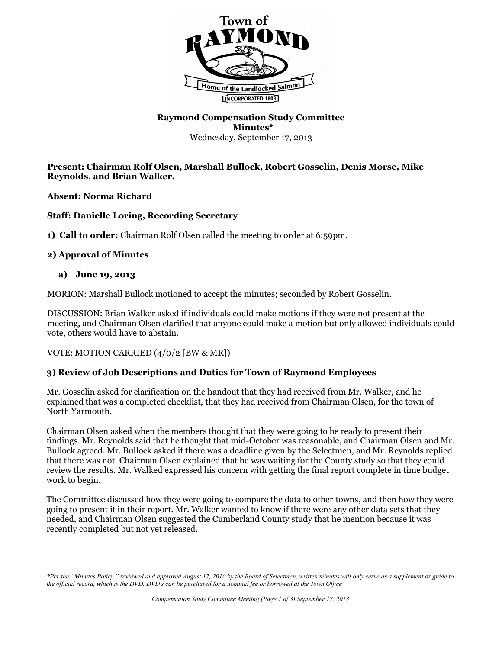

## **Raymond Compensation Study Committee Minutes\*** Wednesday, September 17, 2013

### **Present: Chairman Rolf Olsen, Marshall Bullock, Robert Gosselin, Denis Morse, Mike Reynolds, and Brian Walker.**

**Absent: Norma Richard**

## **Staff: Danielle Loring, Recording Secretary**

**1) Call to order:** Chairman Rolf Olsen called the meeting to order at 6:59pm.

## **2) Approval of Minutes**

## **a) June 19, 2013**

MORION: Marshall Bullock motioned to accept the minutes; seconded by Robert Gosselin.

DISCUSSION: Brian Walker asked if individuals could make motions if they were not present at the meeting, and Chairman Olsen clarified that anyone could make a motion but only allowed individuals could vote, others would have to abstain.

VOTE: MOTION CARRIED (4/0/2 [BW & MR])

# **3) Review of Job Descriptions and Duties for Town of Raymond Employees**

Mr. Gosselin asked for clarification on the handout that they had received from Mr. Walker, and he explained that was a completed checklist, that they had received from Chairman Olsen, for the town of North Yarmouth.

Chairman Olsen asked when the members thought that they were going to be ready to present their findings. Mr. Reynolds said that he thought that mid-October was reasonable, and Chairman Olsen and Mr. Bullock agreed. Mr. Bullock asked if there was a deadline given by the Selectmen, and Mr. Reynolds replied that there was not. Chairman Olsen explained that he was waiting for the County study so that they could review the results. Mr. Walked expressed his concern with getting the final report complete in time budget work to begin.

The Committee discussed how they were going to compare the data to other towns, and then how they were going to present it in their report. Mr. Walker wanted to know if there were any other data sets that they needed, and Chairman Olsen suggested the Cumberland County study that he mention because it was recently completed but not yet released.

*<sup>\*</sup>Per the "Minutes Policy," reviewed and approved August 17, 2010 by the Board of Selectmen, written minutes will only serve as a supplement or guide to the official record, which is the DVD. DVD's can be purchased for a nominal fee or borrowed at the Town Office*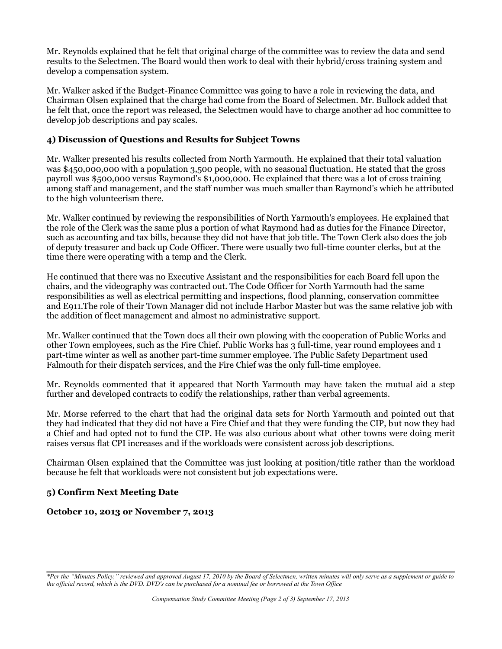Mr. Reynolds explained that he felt that original charge of the committee was to review the data and send results to the Selectmen. The Board would then work to deal with their hybrid/cross training system and develop a compensation system.

Mr. Walker asked if the Budget-Finance Committee was going to have a role in reviewing the data, and Chairman Olsen explained that the charge had come from the Board of Selectmen. Mr. Bullock added that he felt that, once the report was released, the Selectmen would have to charge another ad hoc committee to develop job descriptions and pay scales.

#### **4) Discussion of Questions and Results for Subject Towns**

Mr. Walker presented his results collected from North Yarmouth. He explained that their total valuation was \$450,000,000 with a population 3,500 people, with no seasonal fluctuation. He stated that the gross payroll was \$500,000 versus Raymond's \$1,000,000. He explained that there was a lot of cross training among staff and management, and the staff number was much smaller than Raymond's which he attributed to the high volunteerism there.

Mr. Walker continued by reviewing the responsibilities of North Yarmouth's employees. He explained that the role of the Clerk was the same plus a portion of what Raymond had as duties for the Finance Director, such as accounting and tax bills, because they did not have that job title. The Town Clerk also does the job of deputy treasurer and back up Code Officer. There were usually two full-time counter clerks, but at the time there were operating with a temp and the Clerk.

He continued that there was no Executive Assistant and the responsibilities for each Board fell upon the chairs, and the videography was contracted out. The Code Officer for North Yarmouth had the same responsibilities as well as electrical permitting and inspections, flood planning, conservation committee and E911.The role of their Town Manager did not include Harbor Master but was the same relative job with the addition of fleet management and almost no administrative support.

Mr. Walker continued that the Town does all their own plowing with the cooperation of Public Works and other Town employees, such as the Fire Chief. Public Works has 3 full-time, year round employees and 1 part-time winter as well as another part-time summer employee. The Public Safety Department used Falmouth for their dispatch services, and the Fire Chief was the only full-time employee.

Mr. Reynolds commented that it appeared that North Yarmouth may have taken the mutual aid a step further and developed contracts to codify the relationships, rather than verbal agreements.

Mr. Morse referred to the chart that had the original data sets for North Yarmouth and pointed out that they had indicated that they did not have a Fire Chief and that they were funding the CIP, but now they had a Chief and had opted not to fund the CIP. He was also curious about what other towns were doing merit raises versus flat CPI increases and if the workloads were consistent across job descriptions.

Chairman Olsen explained that the Committee was just looking at position/title rather than the workload because he felt that workloads were not consistent but job expectations were.

## **5) Confirm Next Meeting Date**

#### **October 10, 2013 or November 7, 2013**

*<sup>\*</sup>Per the "Minutes Policy," reviewed and approved August 17, 2010 by the Board of Selectmen, written minutes will only serve as a supplement or guide to the official record, which is the DVD. DVD's can be purchased for a nominal fee or borrowed at the Town Office*